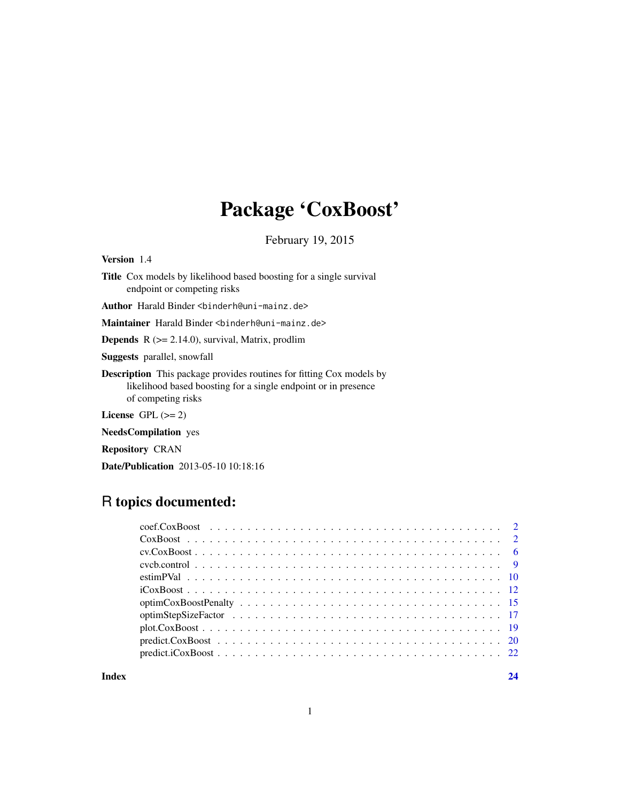# Package 'CoxBoost'

February 19, 2015

<span id="page-0-0"></span>Version 1.4

Title Cox models by likelihood based boosting for a single survival endpoint or competing risks

Author Harald Binder <br/>binderh@uni-mainz.de>

Maintainer Harald Binder <br />binderh@uni-mainz.de>

**Depends**  $R$  ( $>= 2.14.0$ ), survival, Matrix, prodlim

Suggests parallel, snowfall

Description This package provides routines for fitting Cox models by likelihood based boosting for a single endpoint or in presence of competing risks

License GPL  $(>= 2)$ 

NeedsCompilation yes

Repository CRAN

Date/Publication 2013-05-10 10:18:16

# R topics documented:

| $plot.CoxBoost \ldots \ldots \ldots \ldots \ldots \ldots \ldots \ldots \ldots \ldots \ldots \ldots \ldots 19$ |  |
|---------------------------------------------------------------------------------------------------------------|--|
|                                                                                                               |  |
|                                                                                                               |  |
|                                                                                                               |  |

**Index** [24](#page-23-0)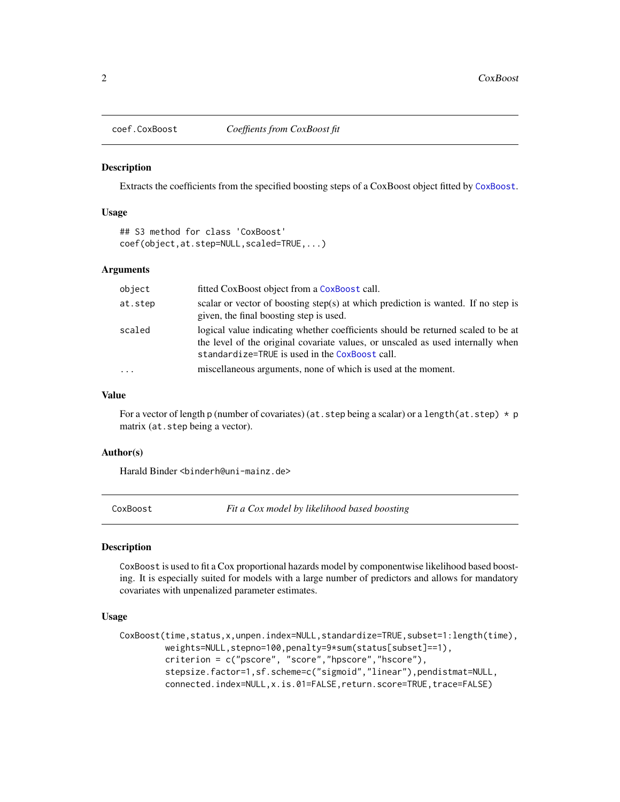<span id="page-1-0"></span>

#### Description

Extracts the coefficients from the specified boosting steps of a CoxBoost object fitted by [CoxBoost](#page-1-1).

### Usage

```
## S3 method for class 'CoxBoost'
coef(object,at.step=NULL,scaled=TRUE,...)
```
#### Arguments

| object   | fitted CoxBoost object from a CoxBoost call.                                                                                                                                                                          |
|----------|-----------------------------------------------------------------------------------------------------------------------------------------------------------------------------------------------------------------------|
| at.step  | scalar or vector of boosting step(s) at which prediction is wanted. If no step is<br>given, the final boosting step is used.                                                                                          |
| scaled   | logical value indicating whether coefficients should be returned scaled to be at<br>the level of the original covariate values, or unscaled as used internally when<br>standardize=TRUE is used in the CoxBoost call. |
| $\cdots$ | miscellaneous arguments, none of which is used at the moment.                                                                                                                                                         |
|          |                                                                                                                                                                                                                       |

#### Value

For a vector of length p (number of covariates) (at. step being a scalar) or a length(at. step)  $\star$  p matrix (at.step being a vector).

#### Author(s)

Harald Binder <binderh@uni-mainz.de>

<span id="page-1-1"></span>CoxBoost *Fit a Cox model by likelihood based boosting*

#### **Description**

CoxBoost is used to fit a Cox proportional hazards model by componentwise likelihood based boosting. It is especially suited for models with a large number of predictors and allows for mandatory covariates with unpenalized parameter estimates.

## Usage

```
CoxBoost(time,status,x,unpen.index=NULL,standardize=TRUE,subset=1:length(time),
        weights=NULL,stepno=100,penalty=9*sum(status[subset]==1),
         criterion = c("pscore", "score","hpscore","hscore"),
         stepsize.factor=1,sf.scheme=c("sigmoid","linear"),pendistmat=NULL,
         connected.index=NULL,x.is.01=FALSE,return.score=TRUE,trace=FALSE)
```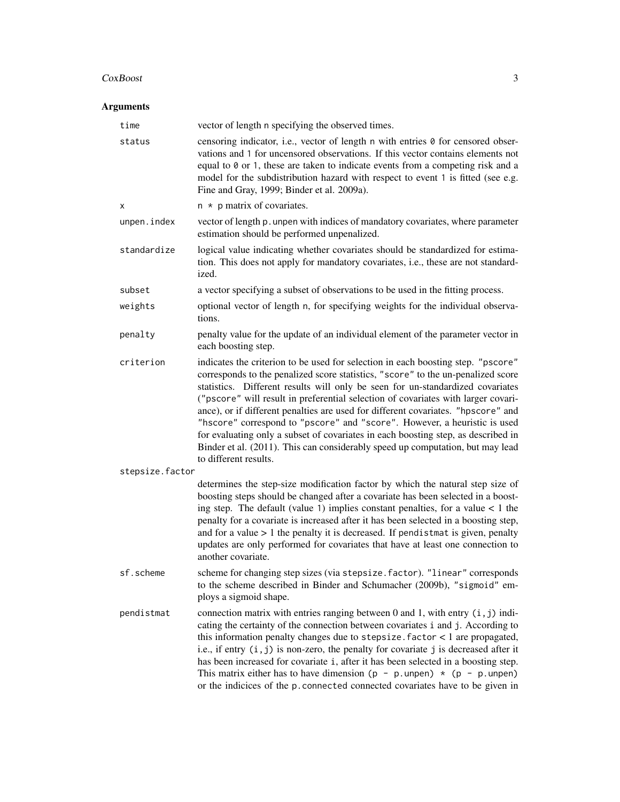#### CoxBoost 3

| time            | vector of length n specifying the observed times.                                                                                                                                                                                                                                                                                                                                                                                                                                                                                                                                                                                                                                                             |
|-----------------|---------------------------------------------------------------------------------------------------------------------------------------------------------------------------------------------------------------------------------------------------------------------------------------------------------------------------------------------------------------------------------------------------------------------------------------------------------------------------------------------------------------------------------------------------------------------------------------------------------------------------------------------------------------------------------------------------------------|
| status          | censoring indicator, i.e., vector of length n with entries 0 for censored obser-<br>vations and 1 for uncensored observations. If this vector contains elements not<br>equal to 0 or 1, these are taken to indicate events from a competing risk and a<br>model for the subdistribution hazard with respect to event 1 is fitted (see e.g.<br>Fine and Gray, 1999; Binder et al. 2009a).                                                                                                                                                                                                                                                                                                                      |
| х               | $n * p$ matrix of covariates.                                                                                                                                                                                                                                                                                                                                                                                                                                                                                                                                                                                                                                                                                 |
| unpen.index     | vector of length p. unpen with indices of mandatory covariates, where parameter<br>estimation should be performed unpenalized.                                                                                                                                                                                                                                                                                                                                                                                                                                                                                                                                                                                |
| standardize     | logical value indicating whether covariates should be standardized for estima-<br>tion. This does not apply for mandatory covariates, i.e., these are not standard-<br>ized.                                                                                                                                                                                                                                                                                                                                                                                                                                                                                                                                  |
| subset          | a vector specifying a subset of observations to be used in the fitting process.                                                                                                                                                                                                                                                                                                                                                                                                                                                                                                                                                                                                                               |
| weights         | optional vector of length n, for specifying weights for the individual observa-<br>tions.                                                                                                                                                                                                                                                                                                                                                                                                                                                                                                                                                                                                                     |
| penalty         | penalty value for the update of an individual element of the parameter vector in<br>each boosting step.                                                                                                                                                                                                                                                                                                                                                                                                                                                                                                                                                                                                       |
| criterion       | indicates the criterion to be used for selection in each boosting step. "pscore"<br>corresponds to the penalized score statistics, "score" to the un-penalized score<br>statistics. Different results will only be seen for un-standardized covariates<br>("pscore" will result in preferential selection of covariates with larger covari-<br>ance), or if different penalties are used for different covariates. "hpscore" and<br>"hscore" correspond to "pscore" and "score". However, a heuristic is used<br>for evaluating only a subset of covariates in each boosting step, as described in<br>Binder et al. (2011). This can considerably speed up computation, but may lead<br>to different results. |
| stepsize.factor |                                                                                                                                                                                                                                                                                                                                                                                                                                                                                                                                                                                                                                                                                                               |
|                 | determines the step-size modification factor by which the natural step size of<br>boosting steps should be changed after a covariate has been selected in a boost-<br>ing step. The default (value 1) implies constant penalties, for a value $< 1$ the<br>penalty for a covariate is increased after it has been selected in a boosting step,<br>and for a value $> 1$ the penalty it is decreased. If pendistmat is given, penalty<br>updates are only performed for covariates that have at least one connection to<br>another covariate.                                                                                                                                                                  |
| sf.scheme       | scheme for changing step sizes (via stepsize. factor). "linear" corresponds<br>to the scheme described in Binder and Schumacher (2009b), "sigmoid" em-<br>ploys a sigmoid shape.                                                                                                                                                                                                                                                                                                                                                                                                                                                                                                                              |
| pendistmat      | connection matrix with entries ranging between $0$ and $1$ , with entry $(i, j)$ indi-<br>cating the certainty of the connection between covariates i and j. According to<br>this information penalty changes due to stepsize. $factor < 1$ are propagated,<br>i.e., if entry $(i, j)$ is non-zero, the penalty for covariate j is decreased after it<br>has been increased for covariate i, after it has been selected in a boosting step.<br>This matrix either has to have dimension $(p - p.\text{unpen}) \times (p - p.\text{unpen})$<br>or the indicices of the p. connected connected covariates have to be given in                                                                                   |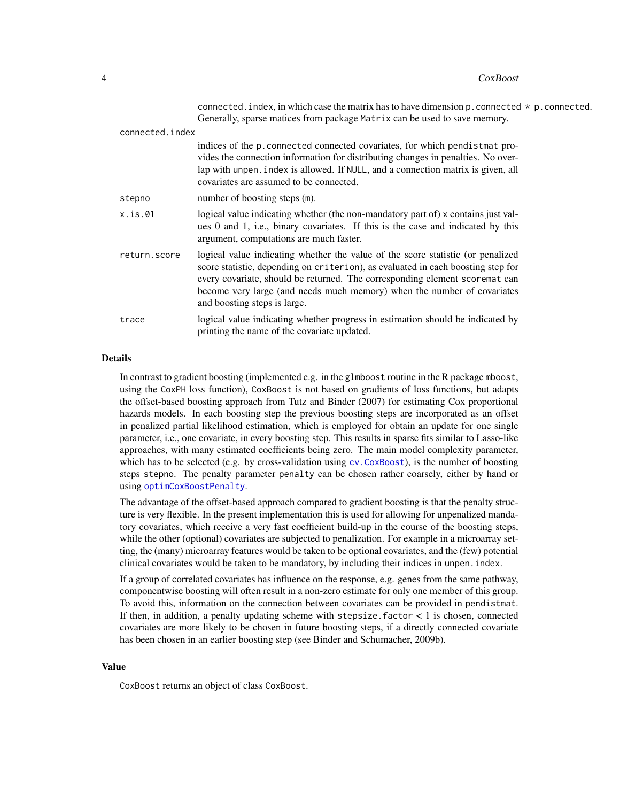<span id="page-3-0"></span>

|                 | connected. index, in which case the matrix has to have dimension $p$ . connected $*$ p. connected.<br>Generally, sparse matices from package Matrix can be used to save memory.                                                                                                                                                                               |
|-----------------|---------------------------------------------------------------------------------------------------------------------------------------------------------------------------------------------------------------------------------------------------------------------------------------------------------------------------------------------------------------|
| connected.index |                                                                                                                                                                                                                                                                                                                                                               |
|                 | indices of the p. connected connected covariates, for which pendistmat pro-<br>vides the connection information for distributing changes in penalties. No over-<br>lap with unpen. index is allowed. If NULL, and a connection matrix is given, all<br>covariates are assumed to be connected.                                                                |
| stepno          | number of boosting steps (m).                                                                                                                                                                                                                                                                                                                                 |
| x.is.01         | logical value indicating whether (the non-mandatory part of) x contains just val-<br>ues 0 and 1, i.e., binary covariates. If this is the case and indicated by this<br>argument, computations are much faster.                                                                                                                                               |
| return.score    | logical value indicating whether the value of the score statistic (or penalized<br>score statistic, depending on criterion), as evaluated in each boosting step for<br>every covariate, should be returned. The corresponding element scoremat can<br>become very large (and needs much memory) when the number of covariates<br>and boosting steps is large. |

trace logical value indicating whether progress in estimation should be indicated by printing the name of the covariate updated.

#### Details

In contrast to gradient boosting (implemented e.g. in the glmboost routine in the R package mboost, using the CoxPH loss function), CoxBoost is not based on gradients of loss functions, but adapts the offset-based boosting approach from Tutz and Binder (2007) for estimating Cox proportional hazards models. In each boosting step the previous boosting steps are incorporated as an offset in penalized partial likelihood estimation, which is employed for obtain an update for one single parameter, i.e., one covariate, in every boosting step. This results in sparse fits similar to Lasso-like approaches, with many estimated coefficients being zero. The main model complexity parameter, which has to be selected (e.g. by cross-validation using cv. CoxBoost), is the number of boosting steps stepno. The penalty parameter penalty can be chosen rather coarsely, either by hand or using [optimCoxBoostPenalty](#page-14-1).

The advantage of the offset-based approach compared to gradient boosting is that the penalty structure is very flexible. In the present implementation this is used for allowing for unpenalized mandatory covariates, which receive a very fast coefficient build-up in the course of the boosting steps, while the other (optional) covariates are subjected to penalization. For example in a microarray setting, the (many) microarray features would be taken to be optional covariates, and the (few) potential clinical covariates would be taken to be mandatory, by including their indices in unpen.index.

If a group of correlated covariates has influence on the response, e.g. genes from the same pathway, componentwise boosting will often result in a non-zero estimate for only one member of this group. To avoid this, information on the connection between covariates can be provided in pendistmat. If then, in addition, a penalty updating scheme with stepsize. factor  $\lt$  1 is chosen, connected covariates are more likely to be chosen in future boosting steps, if a directly connected covariate has been chosen in an earlier boosting step (see Binder and Schumacher, 2009b).

#### Value

CoxBoost returns an object of class CoxBoost.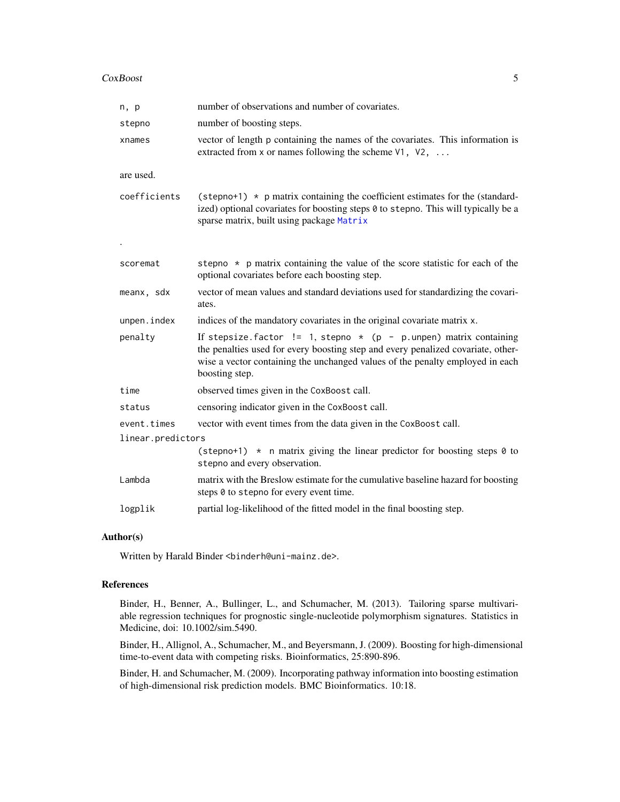<span id="page-4-0"></span>

| n, p              | number of observations and number of covariates.                                                                                                                                                                                                           |
|-------------------|------------------------------------------------------------------------------------------------------------------------------------------------------------------------------------------------------------------------------------------------------------|
| stepno            | number of boosting steps.                                                                                                                                                                                                                                  |
| xnames            | vector of length p containing the names of the covariates. This information is<br>extracted from x or names following the scheme $V1$ , $V2$ ,                                                                                                             |
| are used.         |                                                                                                                                                                                                                                                            |
| coefficients      | (stepno+1) $\star$ p matrix containing the coefficient estimates for the (standard-<br>ized) optional covariates for boosting steps 0 to stepno. This will typically be a<br>sparse matrix, built using package Matrix                                     |
|                   |                                                                                                                                                                                                                                                            |
| scoremat          | stepno * p matrix containing the value of the score statistic for each of the<br>optional covariates before each boosting step.                                                                                                                            |
| meanx, sdx        | vector of mean values and standard deviations used for standardizing the covari-<br>ates.                                                                                                                                                                  |
| unpen.index       | indices of the mandatory covariates in the original covariate matrix x.                                                                                                                                                                                    |
| penalty           | If stepsize factor != 1, stepno $*$ (p - p.unpen) matrix containing<br>the penalties used for every boosting step and every penalized covariate, other-<br>wise a vector containing the unchanged values of the penalty employed in each<br>boosting step. |
| time              | observed times given in the CoxBoost call.                                                                                                                                                                                                                 |
| status            | censoring indicator given in the CoxBoost call.                                                                                                                                                                                                            |
| event.times       | vector with event times from the data given in the CoxBoost call.                                                                                                                                                                                          |
| linear.predictors |                                                                                                                                                                                                                                                            |
|                   | (stepno+1) $\star$ n matrix giving the linear predictor for boosting steps 0 to<br>stepno and every observation.                                                                                                                                           |
| Lambda            | matrix with the Breslow estimate for the cumulative baseline hazard for boosting<br>steps 0 to stepno for every event time.                                                                                                                                |
| logplik           | partial log-likelihood of the fitted model in the final boosting step.                                                                                                                                                                                     |

#### Author(s)

Written by Harald Binder <br/>binderh@uni-mainz.de>.

# References

Binder, H., Benner, A., Bullinger, L., and Schumacher, M. (2013). Tailoring sparse multivariable regression techniques for prognostic single-nucleotide polymorphism signatures. Statistics in Medicine, doi: 10.1002/sim.5490.

Binder, H., Allignol, A., Schumacher, M., and Beyersmann, J. (2009). Boosting for high-dimensional time-to-event data with competing risks. Bioinformatics, 25:890-896.

Binder, H. and Schumacher, M. (2009). Incorporating pathway information into boosting estimation of high-dimensional risk prediction models. BMC Bioinformatics. 10:18.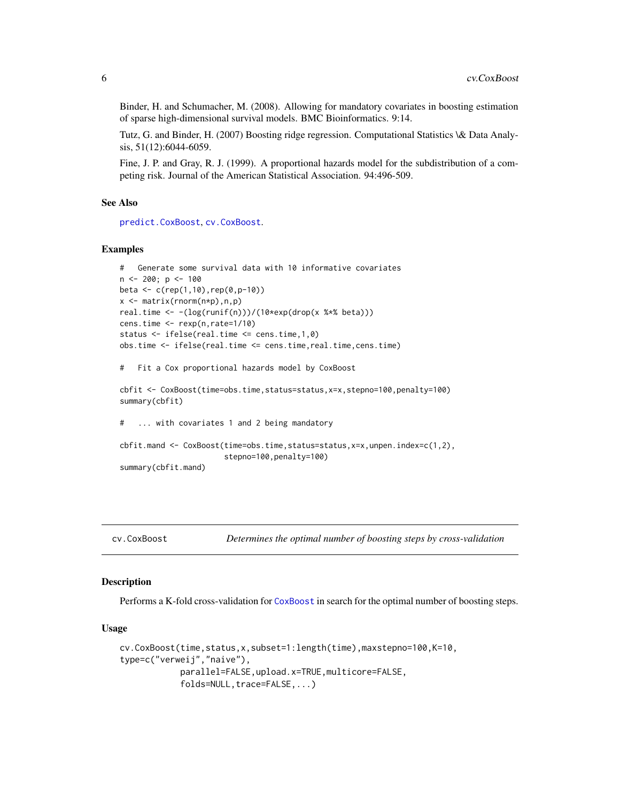<span id="page-5-0"></span>Binder, H. and Schumacher, M. (2008). Allowing for mandatory covariates in boosting estimation of sparse high-dimensional survival models. BMC Bioinformatics. 9:14.

Tutz, G. and Binder, H. (2007) Boosting ridge regression. Computational Statistics \& Data Analysis, 51(12):6044-6059.

Fine, J. P. and Gray, R. J. (1999). A proportional hazards model for the subdistribution of a competing risk. Journal of the American Statistical Association. 94:496-509.

#### See Also

[predict.CoxBoost](#page-19-1), [cv.CoxBoost](#page-5-1).

#### Examples

```
# Generate some survival data with 10 informative covariates
n <- 200; p <- 100
beta <- c(rep(1,10),rep(0,p-10))
x <- matrix(rnorm(n*p),n,p)
real.time <- -(log(runif(n)))/(10*exp(drop(x %*% beta)))
cens.time <- rexp(n,rate=1/10)
status <- ifelse(real.time <= cens.time,1,0)
obs.time <- ifelse(real.time <= cens.time,real.time,cens.time)
# Fit a Cox proportional hazards model by CoxBoost
cbfit <- CoxBoost(time=obs.time,status=status,x=x,stepno=100,penalty=100)
summary(cbfit)
# ... with covariates 1 and 2 being mandatory
cbfit.mand <- CoxBoost(time=obs.time,status=status,x=x,unpen.index=c(1,2),
                       stepno=100, penalty=100)
summary(cbfit.mand)
```
<span id="page-5-1"></span>

#### Description

Performs a K-fold cross-validation for [CoxBoost](#page-1-1) in search for the optimal number of boosting steps.

## Usage

```
cv.CoxBoost(time,status,x,subset=1:length(time),maxstepno=100,K=10,
type=c("verweij","naive"),
            parallel=FALSE,upload.x=TRUE,multicore=FALSE,
            folds=NULL, trace=FALSE,...)
```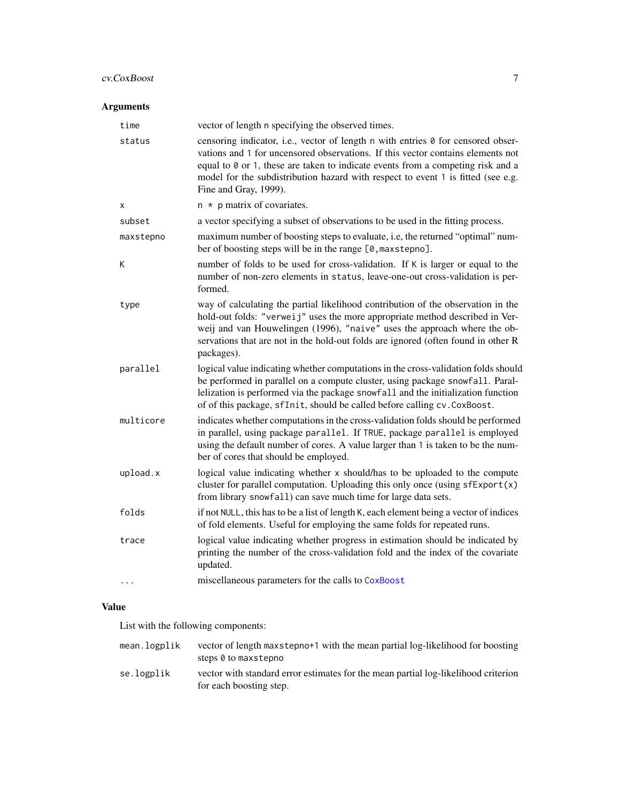# cv.CoxBoost 7

# Arguments

| time      | vector of length n specifying the observed times.                                                                                                                                                                                                                                                                                                                   |
|-----------|---------------------------------------------------------------------------------------------------------------------------------------------------------------------------------------------------------------------------------------------------------------------------------------------------------------------------------------------------------------------|
| status    | censoring indicator, i.e., vector of length n with entries 0 for censored obser-<br>vations and 1 for uncensored observations. If this vector contains elements not<br>equal to 0 or 1, these are taken to indicate events from a competing risk and a<br>model for the subdistribution hazard with respect to event 1 is fitted (see e.g.<br>Fine and Gray, 1999). |
| χ         | $n * p$ matrix of covariates.                                                                                                                                                                                                                                                                                                                                       |
| subset    | a vector specifying a subset of observations to be used in the fitting process.                                                                                                                                                                                                                                                                                     |
| maxstepno | maximum number of boosting steps to evaluate, i.e, the returned "optimal" num-<br>ber of boosting steps will be in the range [0, maxstepno].                                                                                                                                                                                                                        |
| Κ         | number of folds to be used for cross-validation. If K is larger or equal to the<br>number of non-zero elements in status, leave-one-out cross-validation is per-<br>formed.                                                                                                                                                                                         |
| type      | way of calculating the partial likelihood contribution of the observation in the<br>hold-out folds: "verweij" uses the more appropriate method described in Ver-<br>weij and van Houwelingen (1996), "naive" uses the approach where the ob-<br>servations that are not in the hold-out folds are ignored (often found in other R<br>packages).                     |
| parallel  | logical value indicating whether computations in the cross-validation folds should<br>be performed in parallel on a compute cluster, using package snowfall. Paral-<br>lelization is performed via the package snowfall and the initialization function<br>of of this package, sfInit, should be called before calling cv. CoxBoost.                                |
| multicore | indicates whether computations in the cross-validation folds should be performed<br>in parallel, using package parallel. If TRUE, package parallel is employed<br>using the default number of cores. A value larger than 1 is taken to be the num-<br>ber of cores that should be employed.                                                                         |
| upload.x  | logical value indicating whether x should/has to be uploaded to the compute<br>cluster for parallel computation. Uploading this only once (using $sfExport(x)$ )<br>from library snowfall) can save much time for large data sets.                                                                                                                                  |
| folds     | if not NULL, this has to be a list of length K, each element being a vector of indices<br>of fold elements. Useful for employing the same folds for repeated runs.                                                                                                                                                                                                  |
| trace     | logical value indicating whether progress in estimation should be indicated by<br>printing the number of the cross-validation fold and the index of the covariate<br>updated.                                                                                                                                                                                       |
| .         | miscellaneous parameters for the calls to CoxBoost                                                                                                                                                                                                                                                                                                                  |

# Value

List with the following components:

| mean.logplik | vector of length maxstepno+1 with the mean partial log-likelihood for boosting<br>steps 0 to maxstepno        |
|--------------|---------------------------------------------------------------------------------------------------------------|
| se.logplik   | vector with standard error estimates for the mean partial log-likelihood criterion<br>for each boosting step. |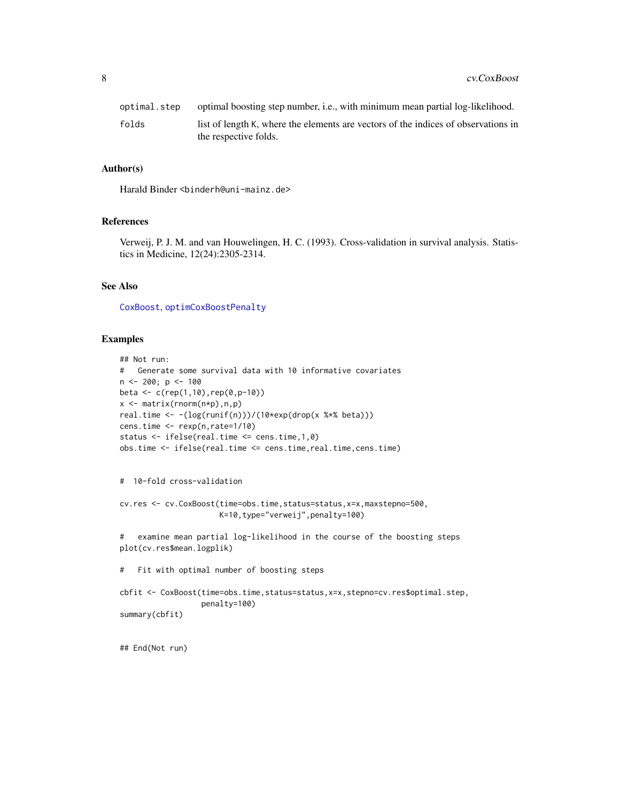<span id="page-7-0"></span>

| optimal.step | optimal boosting step number, <i>i.e.</i> , with minimum mean partial log-likelihood. |
|--------------|---------------------------------------------------------------------------------------|
| folds        | list of length K, where the elements are vectors of the indices of observations in    |
|              | the respective folds.                                                                 |

#### Author(s)

Harald Binder <binderh@uni-mainz.de>

#### References

Verweij, P. J. M. and van Houwelingen, H. C. (1993). Cross-validation in survival analysis. Statistics in Medicine, 12(24):2305-2314.

#### See Also

[CoxBoost](#page-1-1), [optimCoxBoostPenalty](#page-14-1)

# Examples

```
## Not run:
# Generate some survival data with 10 informative covariates
n \le -200; p \le -100beta \leq c (rep(1,10), rep(0, p-10))
x \leq - matrix(rnorm(n \star p), n, p)
real.time <- -(log(runif(n)))/(10*exp(drop(x %*% beta)))
cens.time <- rexp(n,rate=1/10)
status <- ifelse(real.time <= cens.time,1,0)
obs.time <- ifelse(real.time <= cens.time,real.time,cens.time)
# 10-fold cross-validation
cv.res <- cv.CoxBoost(time=obs.time,status=status,x=x,maxstepno=500,
                      K=10,type="verweij",penalty=100)
# examine mean partial log-likelihood in the course of the boosting steps
plot(cv.res$mean.logplik)
# Fit with optimal number of boosting steps
cbfit <- CoxBoost(time=obs.time,status=status,x=x,stepno=cv.res$optimal.step,
                  penalty=100)
summary(cbfit)
```
## End(Not run)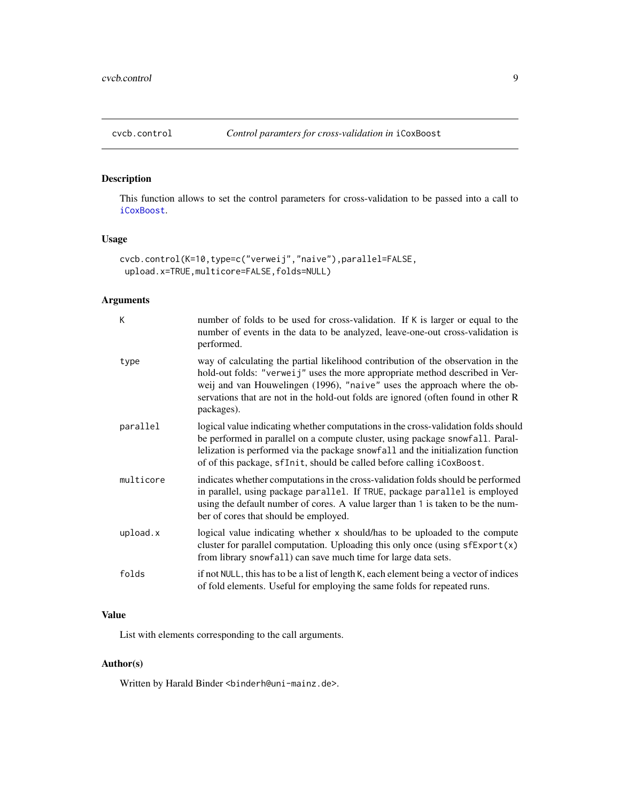<span id="page-8-1"></span><span id="page-8-0"></span>

# Description

This function allows to set the control parameters for cross-validation to be passed into a call to [iCoxBoost](#page-11-1).

# Usage

```
cvcb.control(K=10,type=c("verweij","naive"),parallel=FALSE,
upload.x=TRUE,multicore=FALSE,folds=NULL)
```
# Arguments

| К         | number of folds to be used for cross-validation. If K is larger or equal to the<br>number of events in the data to be analyzed, leave-one-out cross-validation is<br>performed.                                                                                                                                                                 |
|-----------|-------------------------------------------------------------------------------------------------------------------------------------------------------------------------------------------------------------------------------------------------------------------------------------------------------------------------------------------------|
| type      | way of calculating the partial likelihood contribution of the observation in the<br>hold-out folds: "verweij" uses the more appropriate method described in Ver-<br>weij and van Houwelingen (1996), "naive" uses the approach where the ob-<br>servations that are not in the hold-out folds are ignored (often found in other R<br>packages). |
| parallel  | logical value indicating whether computations in the cross-validation folds should<br>be performed in parallel on a compute cluster, using package snowfall. Paral-<br>lelization is performed via the package snowfall and the initialization function<br>of of this package, sfInit, should be called before calling iCoxBoost.               |
| multicore | indicates whether computations in the cross-validation folds should be performed<br>in parallel, using package parallel. If TRUE, package parallel is employed<br>using the default number of cores. A value larger than 1 is taken to be the num-<br>ber of cores that should be employed.                                                     |
| upload.x  | logical value indicating whether x should/has to be uploaded to the compute<br>cluster for parallel computation. Uploading this only once (using $sfExport(x)$ )<br>from library snowfall) can save much time for large data sets.                                                                                                              |
| folds     | if not NULL, this has to be a list of length K, each element being a vector of indices<br>of fold elements. Useful for employing the same folds for repeated runs.                                                                                                                                                                              |

# Value

List with elements corresponding to the call arguments.

# Author(s)

Written by Harald Binder <br/>binderh@uni-mainz.de>.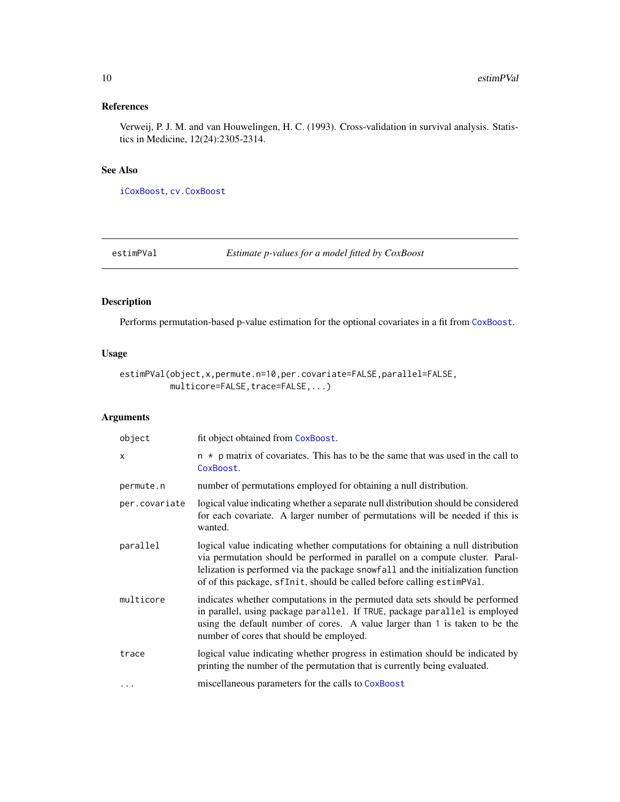# <span id="page-9-0"></span>References

Verweij, P. J. M. and van Houwelingen, H. C. (1993). Cross-validation in survival analysis. Statistics in Medicine, 12(24):2305-2314.

# See Also

[iCoxBoost](#page-11-1), [cv.CoxBoost](#page-5-1)

estimPVal *Estimate p-values for a model fitted by CoxBoost*

# Description

Performs permutation-based p-value estimation for the optional covariates in a fit from [CoxBoost](#page-1-1).

# Usage

```
estimPVal(object,x,permute.n=10,per.covariate=FALSE,parallel=FALSE,
          multicore=FALSE,trace=FALSE,...)
```

| object                    | fit object obtained from CoxBoost.                                                                                                                                                                                                                                                                                            |
|---------------------------|-------------------------------------------------------------------------------------------------------------------------------------------------------------------------------------------------------------------------------------------------------------------------------------------------------------------------------|
| $\boldsymbol{\mathsf{x}}$ | $n * p$ matrix of covariates. This has to be the same that was used in the call to<br>CoxBoost.                                                                                                                                                                                                                               |
| permute.n                 | number of permutations employed for obtaining a null distribution.                                                                                                                                                                                                                                                            |
| per.covariate             | logical value indicating whether a separate null distribution should be considered<br>for each covariate. A larger number of permutations will be needed if this is<br>wanted.                                                                                                                                                |
| parallel                  | logical value indicating whether computations for obtaining a null distribution<br>via permutation should be performed in parallel on a compute cluster. Paral-<br>lelization is performed via the package snowfall and the initialization function<br>of of this package, sfInit, should be called before calling estimPVal. |
| multicore                 | indicates whether computations in the permuted data sets should be performed<br>in parallel, using package parallel. If TRUE, package parallel is employed<br>using the default number of cores. A value larger than 1 is taken to be the<br>number of cores that should be employed.                                         |
| trace                     | logical value indicating whether progress in estimation should be indicated by<br>printing the number of the permutation that is currently being evaluated.                                                                                                                                                                   |
| $\cdots$                  | miscellaneous parameters for the calls to CoxBoost                                                                                                                                                                                                                                                                            |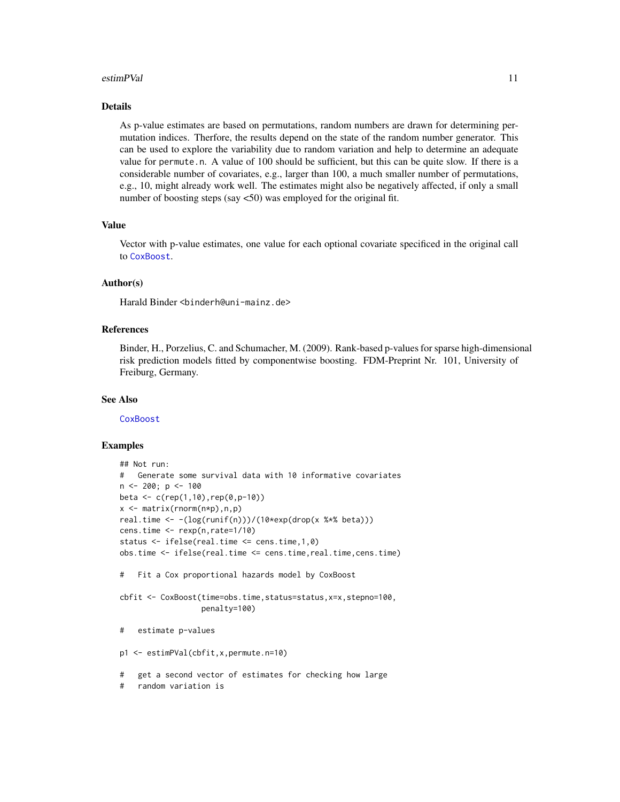#### estimPVal 11

## Details

As p-value estimates are based on permutations, random numbers are drawn for determining permutation indices. Therfore, the results depend on the state of the random number generator. This can be used to explore the variability due to random variation and help to determine an adequate value for permute.n. A value of 100 should be sufficient, but this can be quite slow. If there is a considerable number of covariates, e.g., larger than 100, a much smaller number of permutations, e.g., 10, might already work well. The estimates might also be negatively affected, if only a small number of boosting steps (say <50) was employed for the original fit.

# Value

Vector with p-value estimates, one value for each optional covariate specificed in the original call to [CoxBoost](#page-1-1).

#### Author(s)

Harald Binder <binderh@uni-mainz.de>

# References

Binder, H., Porzelius, C. and Schumacher, M. (2009). Rank-based p-values for sparse high-dimensional risk prediction models fitted by componentwise boosting. FDM-Preprint Nr. 101, University of Freiburg, Germany.

#### See Also

**[CoxBoost](#page-1-1)** 

#### Examples

```
## Not run:
# Generate some survival data with 10 informative covariates
n < -200; p < -100beta <- c(rep(1,10),rep(0,p-10))
x \le - matrix(rnorm(n*p), n,p)
real.time <- -(log(runif(n)))/(10*exp(drop(x %*% beta)))
cens.time <- rexp(n,rate=1/10)
status <- ifelse(real.time <= cens.time,1,0)
obs.time <- ifelse(real.time <= cens.time,real.time,cens.time)
# Fit a Cox proportional hazards model by CoxBoost
cbfit <- CoxBoost(time=obs.time,status=status,x=x,stepno=100,
                  penalty=100)
# estimate p-values
p1 <- estimPVal(cbfit,x,permute.n=10)
# get a second vector of estimates for checking how large
```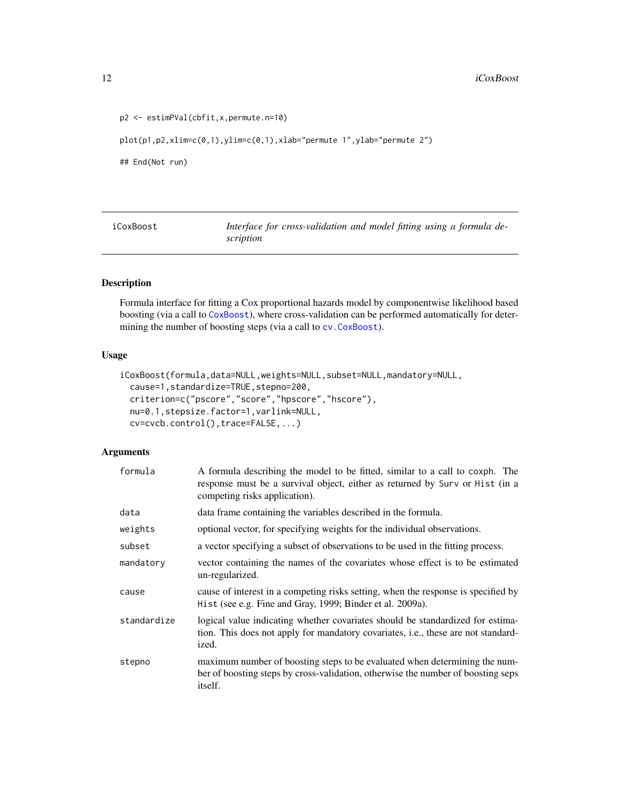#### 12 iCoxBoost and the set of the set of the set of the set of the set of the set of the set of the set of the set of the set of the set of the set of the set of the set of the set of the set of the set of the set of the set

```
p2 <- estimPVal(cbfit,x,permute.n=10)
plot(p1,p2,xlim=c(0,1),ylim=c(0,1),xlab="permute 1",ylab="permute 2")
## End(Not run)
```
<span id="page-11-1"></span>iCoxBoost *Interface for cross-validation and model fitting using a formula description*

# Description

Formula interface for fitting a Cox proportional hazards model by componentwise likelihood based boosting (via a call to [CoxBoost](#page-1-1)), where cross-validation can be performed automatically for determining the number of boosting steps (via a call to [cv.CoxBoost](#page-5-1)).

#### Usage

```
iCoxBoost(formula,data=NULL,weights=NULL,subset=NULL,mandatory=NULL,
 cause=1,standardize=TRUE,stepno=200,
 criterion=c("pscore","score","hpscore","hscore"),
 nu=0.1,stepsize.factor=1,varlink=NULL,
 cv=cvcb.control(),trace=FALSE,...)
```

| formula     | A formula describing the model to be fitted, similar to a call to coxph. The<br>response must be a survival object, either as returned by Surv or Hist (in a<br>competing risks application). |
|-------------|-----------------------------------------------------------------------------------------------------------------------------------------------------------------------------------------------|
| data        | data frame containing the variables described in the formula.                                                                                                                                 |
| weights     | optional vector, for specifying weights for the individual observations.                                                                                                                      |
| subset      | a vector specifying a subset of observations to be used in the fitting process.                                                                                                               |
| mandatory   | vector containing the names of the covariates whose effect is to be estimated<br>un-regularized.                                                                                              |
| cause       | cause of interest in a competing risks setting, when the response is specified by<br>Hist (see e.g. Fine and Gray, 1999; Binder et al. 2009a).                                                |
| standardize | logical value indicating whether covariates should be standardized for estima-<br>tion. This does not apply for mandatory covariates, i.e., these are not standard-<br>ized.                  |
| stepno      | maximum number of boosting steps to be evaluated when determining the num-<br>ber of boosting steps by cross-validation, otherwise the number of boosting seps<br>itself.                     |

<span id="page-11-0"></span>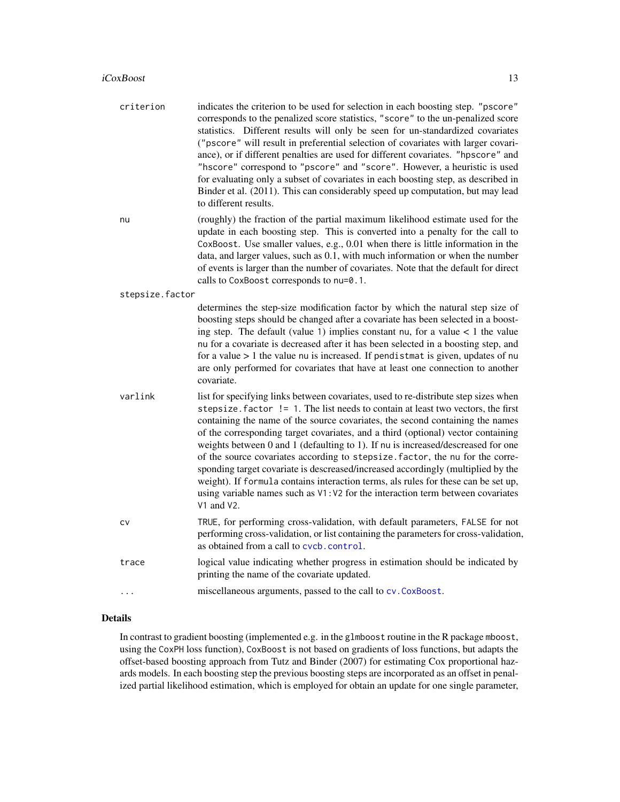#### <span id="page-12-0"></span>iCoxBoost 13

- criterion indicates the criterion to be used for selection in each boosting step. "pscore" corresponds to the penalized score statistics, "score" to the un-penalized score statistics. Different results will only be seen for un-standardized covariates ("pscore" will result in preferential selection of covariates with larger covariance), or if different penalties are used for different covariates. "hpscore" and "hscore" correspond to "pscore" and "score". However, a heuristic is used for evaluating only a subset of covariates in each boosting step, as described in Binder et al. (2011). This can considerably speed up computation, but may lead to different results.
- nu (roughly) the fraction of the partial maximum likelihood estimate used for the update in each boosting step. This is converted into a penalty for the call to CoxBoost. Use smaller values, e.g., 0.01 when there is little information in the data, and larger values, such as 0.1, with much information or when the number of events is larger than the number of covariates. Note that the default for direct calls to CoxBoost corresponds to nu=0.1.

stepsize.factor

determines the step-size modification factor by which the natural step size of boosting steps should be changed after a covariate has been selected in a boosting step. The default (value 1) implies constant nu, for a value  $\lt 1$  the value nu for a covariate is decreased after it has been selected in a boosting step, and for a value  $> 1$  the value nu is increased. If pendistmat is given, updates of nu are only performed for covariates that have at least one connection to another covariate.

- varlink list for specifying links between covariates, used to re-distribute step sizes when stepsize.factor != 1. The list needs to contain at least two vectors, the first containing the name of the source covariates, the second containing the names of the corresponding target covariates, and a third (optional) vector containing weights between 0 and 1 (defaulting to 1). If nu is increased/descreased for one of the source covariates according to stepsize.factor, the nu for the corresponding target covariate is descreased/increased accordingly (multiplied by the weight). If formula contains interaction terms, als rules for these can be set up, using variable names such as V1:V2 for the interaction term between covariates V1 and V2.
- cv TRUE, for performing cross-validation, with default parameters, FALSE for not performing cross-validation, or list containing the parameters for cross-validation, as obtained from a call to [cvcb.control](#page-8-1).
- trace logical value indicating whether progress in estimation should be indicated by printing the name of the covariate updated.
- ... miscellaneous arguments, passed to the call to [cv.CoxBoost](#page-5-1).

# Details

In contrast to gradient boosting (implemented e.g. in the glmboost routine in the R package mboost, using the CoxPH loss function), CoxBoost is not based on gradients of loss functions, but adapts the offset-based boosting approach from Tutz and Binder (2007) for estimating Cox proportional hazards models. In each boosting step the previous boosting steps are incorporated as an offset in penalized partial likelihood estimation, which is employed for obtain an update for one single parameter,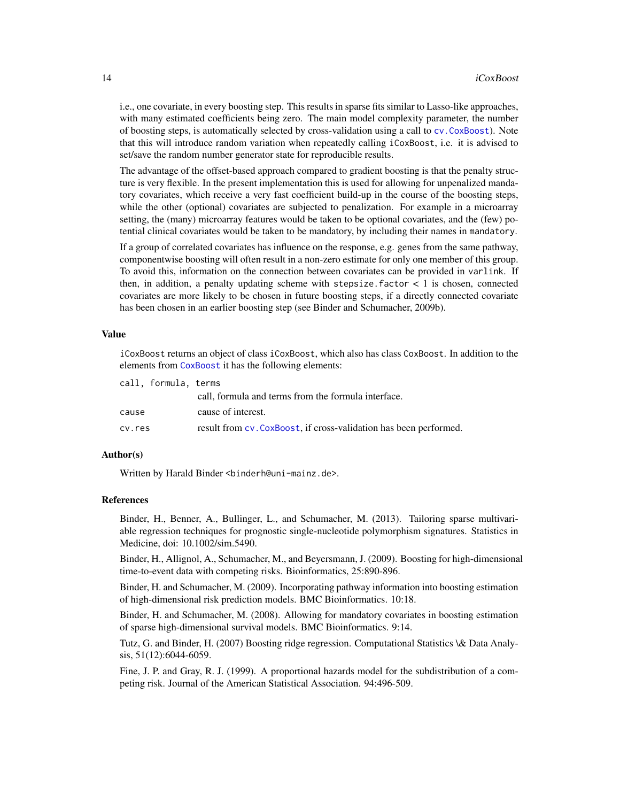<span id="page-13-0"></span>i.e., one covariate, in every boosting step. This results in sparse fits similar to Lasso-like approaches, with many estimated coefficients being zero. The main model complexity parameter, the number of boosting steps, is automatically selected by cross-validation using a call to [cv.CoxBoost](#page-5-1)). Note that this will introduce random variation when repeatedly calling iCoxBoost, i.e. it is advised to set/save the random number generator state for reproducible results.

The advantage of the offset-based approach compared to gradient boosting is that the penalty structure is very flexible. In the present implementation this is used for allowing for unpenalized mandatory covariates, which receive a very fast coefficient build-up in the course of the boosting steps, while the other (optional) covariates are subjected to penalization. For example in a microarray setting, the (many) microarray features would be taken to be optional covariates, and the (few) potential clinical covariates would be taken to be mandatory, by including their names in mandatory.

If a group of correlated covariates has influence on the response, e.g. genes from the same pathway, componentwise boosting will often result in a non-zero estimate for only one member of this group. To avoid this, information on the connection between covariates can be provided in varlink. If then, in addition, a penalty updating scheme with stepsize. factor  $\lt 1$  is chosen, connected covariates are more likely to be chosen in future boosting steps, if a directly connected covariate has been chosen in an earlier boosting step (see Binder and Schumacher, 2009b).

#### Value

iCoxBoost returns an object of class iCoxBoost, which also has class CoxBoost. In addition to the elements from [CoxBoost](#page-1-1) it has the following elements:

|        | call, formula, terms |                                                                   |
|--------|----------------------|-------------------------------------------------------------------|
|        |                      | call, formula and terms from the formula interface.               |
| cause  |                      | cause of interest.                                                |
| cv.res |                      | result from cv. CoxBoost, if cross-validation has been performed. |

## Author(s)

Written by Harald Binder <binderh@uni-mainz.de>.

# References

Binder, H., Benner, A., Bullinger, L., and Schumacher, M. (2013). Tailoring sparse multivariable regression techniques for prognostic single-nucleotide polymorphism signatures. Statistics in Medicine, doi: 10.1002/sim.5490.

Binder, H., Allignol, A., Schumacher, M., and Beyersmann, J. (2009). Boosting for high-dimensional time-to-event data with competing risks. Bioinformatics, 25:890-896.

Binder, H. and Schumacher, M. (2009). Incorporating pathway information into boosting estimation of high-dimensional risk prediction models. BMC Bioinformatics. 10:18.

Binder, H. and Schumacher, M. (2008). Allowing for mandatory covariates in boosting estimation of sparse high-dimensional survival models. BMC Bioinformatics. 9:14.

Tutz, G. and Binder, H. (2007) Boosting ridge regression. Computational Statistics \& Data Analysis, 51(12):6044-6059.

Fine, J. P. and Gray, R. J. (1999). A proportional hazards model for the subdistribution of a competing risk. Journal of the American Statistical Association. 94:496-509.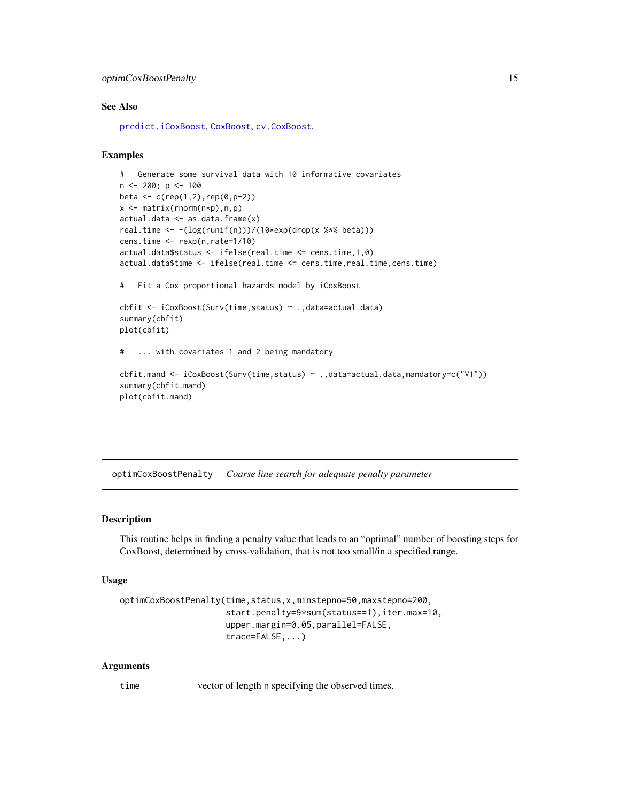# <span id="page-14-0"></span>optimCoxBoostPenalty 15

#### See Also

[predict.iCoxBoost](#page-21-1), [CoxBoost](#page-1-1), [cv.CoxBoost](#page-5-1).

# Examples

```
# Generate some survival data with 10 informative covariates
n \le -200; p \le -100beta <- c(rep(1,2),rep(0,p-2))x <- matrix(rnorm(n*p),n,p)
actual.data \leftarrow as.data.findm(x)real.time <- -(log(runif(n)))/(10*exp(drop(x %*% beta)))
cens.time <- rexp(n,rate=1/10)
actual.data$status <- ifelse(real.time <= cens.time,1,0)
actual.data$time <- ifelse(real.time <= cens.time,real.time,cens.time)
# Fit a Cox proportional hazards model by iCoxBoost
cbfit <- iCoxBoost(Surv(time,status) ~ .,data=actual.data)
summary(cbfit)
plot(cbfit)
# ... with covariates 1 and 2 being mandatory
cbfit.mand <- iCoxBoost(Surv(time,status) ~ .,data=actual.data,mandatory=c("V1"))
summary(cbfit.mand)
plot(cbfit.mand)
```
<span id="page-14-1"></span>optimCoxBoostPenalty *Coarse line search for adequate penalty parameter*

# Description

This routine helps in finding a penalty value that leads to an "optimal" number of boosting steps for CoxBoost, determined by cross-validation, that is not too small/in a specified range.

#### Usage

```
optimCoxBoostPenalty(time,status,x,minstepno=50,maxstepno=200,
                     start.penalty=9*sum(status==1),iter.max=10,
                     upper.margin=0.05,parallel=FALSE,
                     trace=FALSE,...)
```
#### Arguments

time vector of length n specifying the observed times.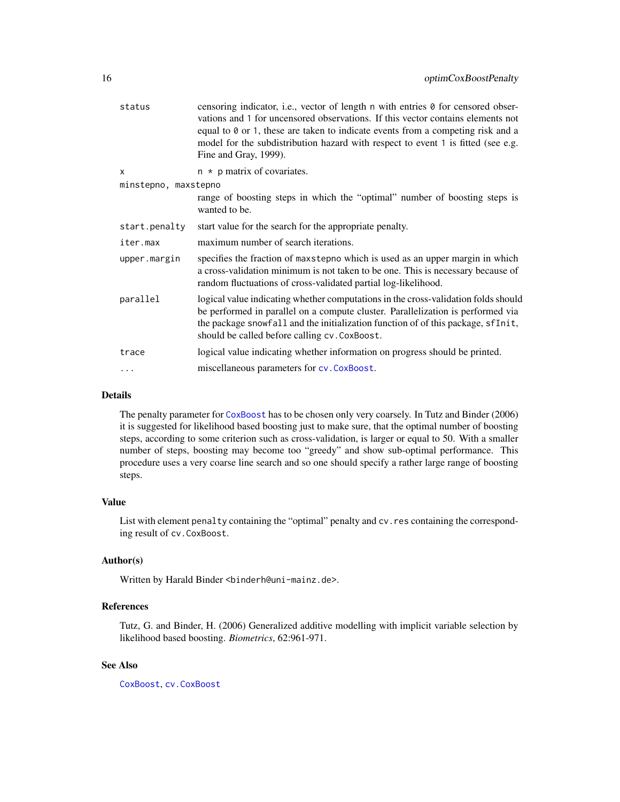<span id="page-15-0"></span>

| status               | censoring indicator, i.e., vector of length n with entries 0 for censored obser-<br>vations and 1 for uncensored observations. If this vector contains elements not<br>equal to $\theta$ or 1, these are taken to indicate events from a competing risk and a<br>model for the subdistribution hazard with respect to event 1 is fitted (see e.g.<br>Fine and Gray, 1999). |
|----------------------|----------------------------------------------------------------------------------------------------------------------------------------------------------------------------------------------------------------------------------------------------------------------------------------------------------------------------------------------------------------------------|
| $\mathsf{x}$         | $n * p$ matrix of covariates.                                                                                                                                                                                                                                                                                                                                              |
| minstepno, maxstepno |                                                                                                                                                                                                                                                                                                                                                                            |
|                      | range of boosting steps in which the "optimal" number of boosting steps is<br>wanted to be.                                                                                                                                                                                                                                                                                |
| start.penalty        | start value for the search for the appropriate penalty.                                                                                                                                                                                                                                                                                                                    |
| iter.max             | maximum number of search iterations.                                                                                                                                                                                                                                                                                                                                       |
| upper.margin         | specifies the fraction of maxstepno which is used as an upper margin in which<br>a cross-validation minimum is not taken to be one. This is necessary because of<br>random fluctuations of cross-validated partial log-likelihood.                                                                                                                                         |
| parallel             | logical value indicating whether computations in the cross-validation folds should<br>be performed in parallel on a compute cluster. Parallelization is performed via<br>the package snowfall and the initialization function of of this package, sfInit,<br>should be called before calling cv. CoxBoost.                                                                 |
| trace                | logical value indicating whether information on progress should be printed.                                                                                                                                                                                                                                                                                                |
| $\cdots$             | miscellaneous parameters for cv. CoxBoost.                                                                                                                                                                                                                                                                                                                                 |

#### Details

The penalty parameter for [CoxBoost](#page-1-1) has to be chosen only very coarsely. In Tutz and Binder (2006) it is suggested for likelihood based boosting just to make sure, that the optimal number of boosting steps, according to some criterion such as cross-validation, is larger or equal to 50. With a smaller number of steps, boosting may become too "greedy" and show sub-optimal performance. This procedure uses a very coarse line search and so one should specify a rather large range of boosting steps.

# Value

List with element penalty containing the "optimal" penalty and cv. res containing the corresponding result of cv.CoxBoost.

# Author(s)

Written by Harald Binder <br/>binderh@uni-mainz.de>.

# References

Tutz, G. and Binder, H. (2006) Generalized additive modelling with implicit variable selection by likelihood based boosting. *Biometrics*, 62:961-971.

## See Also

[CoxBoost](#page-1-1), [cv.CoxBoost](#page-5-1)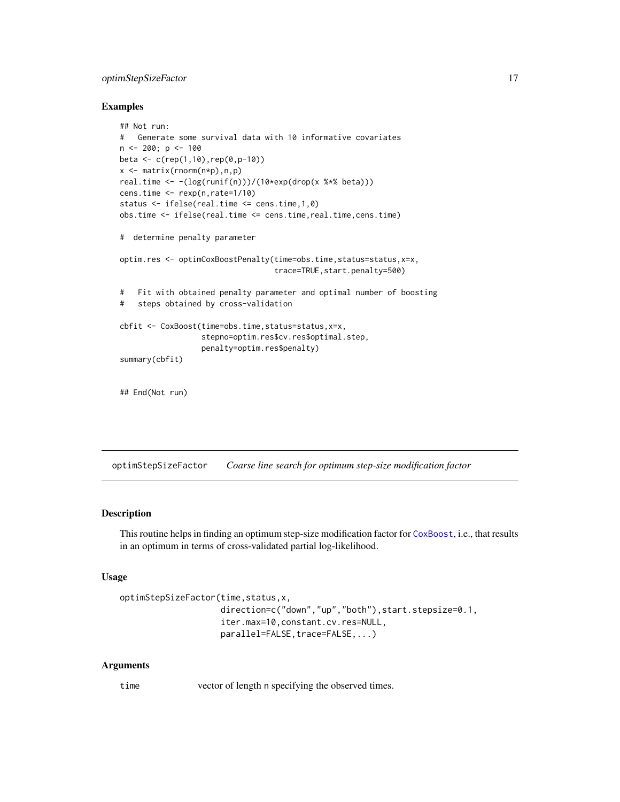# <span id="page-16-0"></span>optimStepSizeFactor 17

#### Examples

```
## Not run:
# Generate some survival data with 10 informative covariates
n <- 200; p <- 100
beta <- c(rep(1,10),rep(0,p-10))
x \leq - matrix(rnorm(n \star p), n, p)
real.time <- -(log(runif(n)))/(10*exp(drop(x %*% beta)))
cens.time <- rexp(n,rate=1/10)
status <- ifelse(real.time <= cens.time,1,0)
obs.time <- ifelse(real.time <= cens.time,real.time,cens.time)
# determine penalty parameter
optim.res <- optimCoxBoostPenalty(time=obs.time,status=status,x=x,
                                  trace=TRUE,start.penalty=500)
# Fit with obtained penalty parameter and optimal number of boosting
# steps obtained by cross-validation
cbfit <- CoxBoost(time=obs.time,status=status,x=x,
                  stepno=optim.res$cv.res$optimal.step,
                  penalty=optim.res$penalty)
summary(cbfit)
```
## End(Not run)

optimStepSizeFactor *Coarse line search for optimum step-size modification factor*

#### Description

This routine helps in finding an optimum step-size modification factor for [CoxBoost](#page-1-1), i.e., that results in an optimum in terms of cross-validated partial log-likelihood.

#### Usage

```
optimStepSizeFactor(time,status,x,
                    direction=c("down","up","both"),start.stepsize=0.1,
                    iter.max=10,constant.cv.res=NULL,
                    parallel=FALSE, trace=FALSE,...)
```
#### Arguments

time vector of length n specifying the observed times.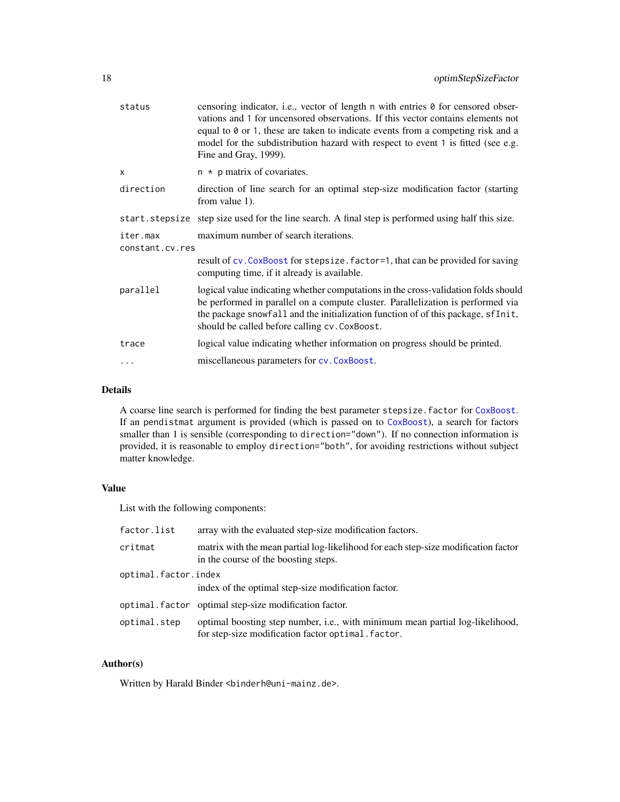<span id="page-17-0"></span>

| status                      | censoring indicator, i.e., vector of length n with entries 0 for censored obser-<br>vations and 1 for uncensored observations. If this vector contains elements not<br>equal to 0 or 1, these are taken to indicate events from a competing risk and a<br>model for the subdistribution hazard with respect to event 1 is fitted (see e.g.<br>Fine and Gray, 1999). |
|-----------------------------|---------------------------------------------------------------------------------------------------------------------------------------------------------------------------------------------------------------------------------------------------------------------------------------------------------------------------------------------------------------------|
| $\mathsf{x}$                | $n * p$ matrix of covariates.                                                                                                                                                                                                                                                                                                                                       |
| direction                   | direction of line search for an optimal step-size modification factor (starting<br>from value 1).                                                                                                                                                                                                                                                                   |
|                             | start. stepsize step size used for the line search. A final step is performed using half this size.                                                                                                                                                                                                                                                                 |
| iter.max<br>constant.cv.res | maximum number of search iterations.                                                                                                                                                                                                                                                                                                                                |
|                             | result of cv. CoxBoost for stepsize. factor=1, that can be provided for saving<br>computing time, if it already is available.                                                                                                                                                                                                                                       |
| parallel                    | logical value indicating whether computations in the cross-validation folds should<br>be performed in parallel on a compute cluster. Parallelization is performed via<br>the package snowfall and the initialization function of of this package, sfInit,<br>should be called before calling cv. CoxBoost.                                                          |
| trace                       | logical value indicating whether information on progress should be printed.                                                                                                                                                                                                                                                                                         |
| .                           | miscellaneous parameters for cv. CoxBoost.                                                                                                                                                                                                                                                                                                                          |
|                             |                                                                                                                                                                                                                                                                                                                                                                     |

## Details

A coarse line search is performed for finding the best parameter stepsize.factor for [CoxBoost](#page-1-1). If an pendistmat argument is provided (which is passed on to [CoxBoost](#page-1-1)), a search for factors smaller than 1 is sensible (corresponding to direction="down"). If no connection information is provided, it is reasonable to employ direction="both", for avoiding restrictions without subject matter knowledge.

# Value

List with the following components:

| factor.list          | array with the evaluated step-size modification factors.                                                                            |  |
|----------------------|-------------------------------------------------------------------------------------------------------------------------------------|--|
| critmat              | matrix with the mean partial log-likelihood for each step-size modification factor<br>in the course of the boosting steps.          |  |
| optimal.factor.index |                                                                                                                                     |  |
|                      | index of the optimal step-size modification factor.                                                                                 |  |
|                      | optimal. factor optimal step-size modification factor.                                                                              |  |
| optimal.step         | optimal boosting step number, i.e., with minimum mean partial log-likelihood,<br>for step-size modification factor optimal. factor. |  |

# Author(s)

Written by Harald Binder <br/>binderh@uni-mainz.de>.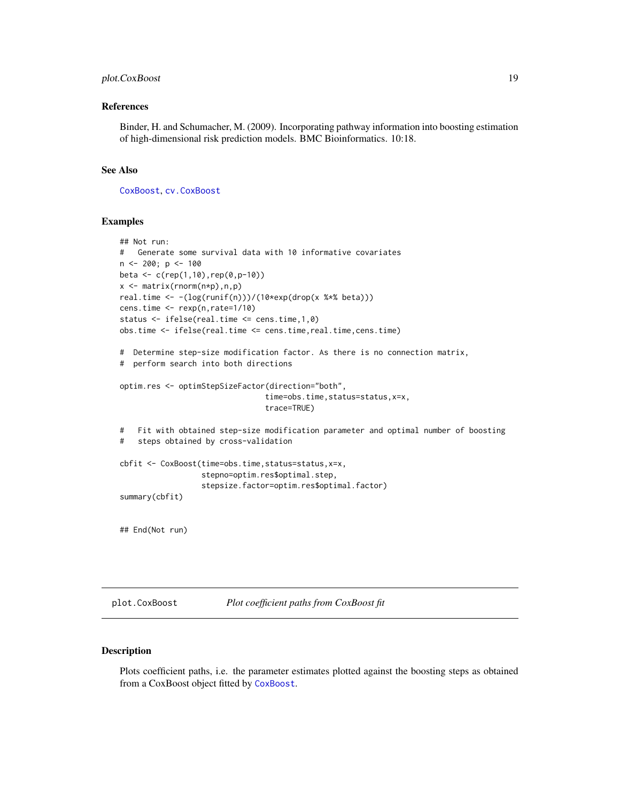# <span id="page-18-0"></span>plot.CoxBoost 19

#### References

Binder, H. and Schumacher, M. (2009). Incorporating pathway information into boosting estimation of high-dimensional risk prediction models. BMC Bioinformatics. 10:18.

#### See Also

[CoxBoost](#page-1-1), [cv.CoxBoost](#page-5-1)

#### Examples

```
## Not run:
# Generate some survival data with 10 informative covariates
n \le -200; p \le -100beta \leq c (rep(1,10), rep(0, p-10))
x \le - matrix(rnorm(n*p), n,p)
real.time <- -(\log(runif(n)))/(10*exp(drop(x **)beta)))cens.time <- rexp(n,rate=1/10)
status <- ifelse(real.time <= cens.time,1,0)
obs.time <- ifelse(real.time <= cens.time,real.time,cens.time)
# Determine step-size modification factor. As there is no connection matrix,
# perform search into both directions
optim.res <- optimStepSizeFactor(direction="both",
                                time=obs.time,status=status,x=x,
                                trace=TRUE)
# Fit with obtained step-size modification parameter and optimal number of boosting
# steps obtained by cross-validation
cbfit <- CoxBoost(time=obs.time,status=status,x=x,
                  stepno=optim.res$optimal.step,
                  stepsize.factor=optim.res$optimal.factor)
summary(cbfit)
## End(Not run)
```
plot.CoxBoost *Plot coefficient paths from CoxBoost fit*

# Description

Plots coefficient paths, i.e. the parameter estimates plotted against the boosting steps as obtained from a CoxBoost object fitted by [CoxBoost](#page-1-1).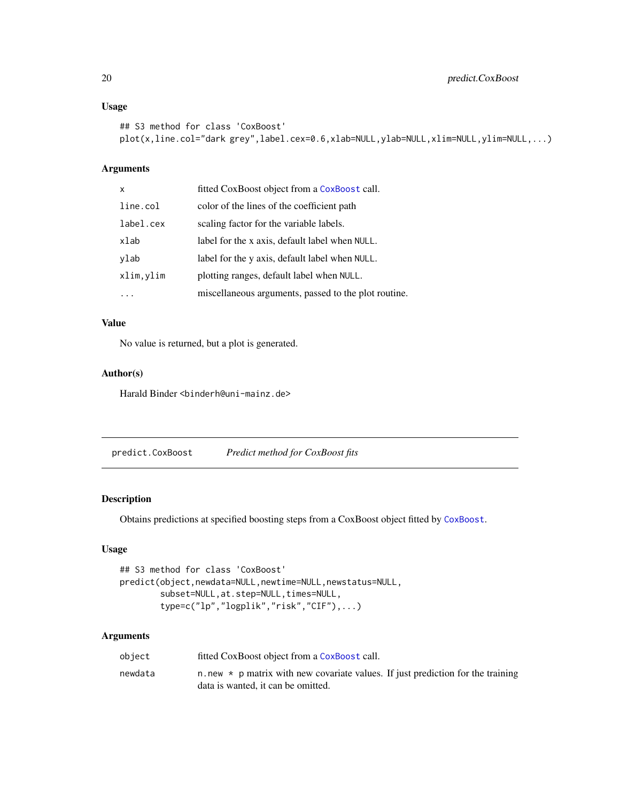# <span id="page-19-0"></span>Usage

```
## S3 method for class 'CoxBoost'
plot(x,line.col="dark grey",label.cex=0.6,xlab=NULL,ylab=NULL,xlim=NULL,ylim=NULL,...)
```
# Arguments

| $\boldsymbol{\mathsf{x}}$ | fitted CoxBoost object from a CoxBoost call.         |
|---------------------------|------------------------------------------------------|
| line.col                  | color of the lines of the coefficient path           |
| label.cex                 | scaling factor for the variable labels.              |
| xlab                      | label for the x axis, default label when NULL.       |
| ylab                      | label for the y axis, default label when NULL.       |
| xlim, ylim                | plotting ranges, default label when NULL.            |
|                           | miscellaneous arguments, passed to the plot routine. |

# Value

No value is returned, but a plot is generated.

# Author(s)

Harald Binder <binderh@uni-mainz.de>

<span id="page-19-1"></span>predict.CoxBoost *Predict method for CoxBoost fits*

# Description

Obtains predictions at specified boosting steps from a CoxBoost object fitted by [CoxBoost](#page-1-1).

#### Usage

```
## S3 method for class 'CoxBoost'
predict(object,newdata=NULL,newtime=NULL,newstatus=NULL,
       subset=NULL,at.step=NULL,times=NULL,
       type=c("lp","logplik","risk","CIF"),...)
```

| object  | fitted CoxBoost object from a CoxBoost call.                                                                                |
|---------|-----------------------------------------------------------------------------------------------------------------------------|
| newdata | n new $\star$ p matrix with new covariate values. If just prediction for the training<br>data is wanted, it can be omitted. |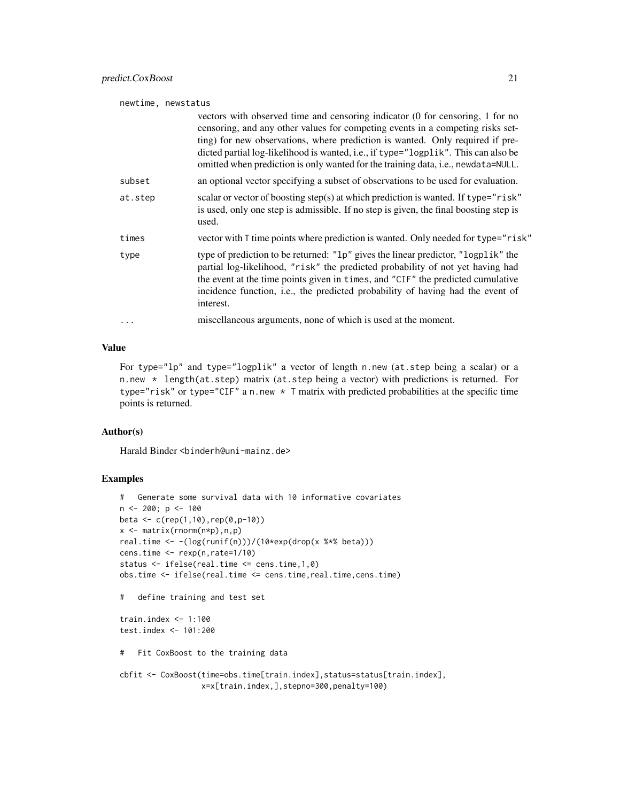| newtime, newstatus |                                                                                                                                                                                                                                                                                                                                                                                                                             |
|--------------------|-----------------------------------------------------------------------------------------------------------------------------------------------------------------------------------------------------------------------------------------------------------------------------------------------------------------------------------------------------------------------------------------------------------------------------|
|                    | vectors with observed time and censoring indicator (0 for censoring, 1 for no<br>censoring, and any other values for competing events in a competing risks set-<br>ting) for new observations, where prediction is wanted. Only required if pre-<br>dicted partial log-likelihood is wanted, i.e., if type="logplik". This can also be<br>omitted when prediction is only wanted for the training data, i.e., newdata=NULL. |
| subset             | an optional vector specifying a subset of observations to be used for evaluation.                                                                                                                                                                                                                                                                                                                                           |
| at.step            | scalar or vector of boosting step(s) at which prediction is wanted. If type="risk"<br>is used, only one step is admissible. If no step is given, the final boosting step is<br>used.                                                                                                                                                                                                                                        |
| times              | vector with T time points where prediction is wanted. Only needed for type="risk"                                                                                                                                                                                                                                                                                                                                           |
| type               | type of prediction to be returned: "1p" gives the linear predictor, "logplik" the<br>partial log-likelihood, "risk" the predicted probability of not yet having had<br>the event at the time points given in times, and "CIF" the predicted cumulative<br>incidence function, i.e., the predicted probability of having had the event of<br>interest.                                                                       |
|                    | miscellaneous arguments, none of which is used at the moment.                                                                                                                                                                                                                                                                                                                                                               |

#### Value

For type="lp" and type="logplik" a vector of length n.new (at.step being a scalar) or a n.new \* length(at.step) matrix (at.step being a vector) with predictions is returned. For type="risk" or type="CIF" a n.new \* T matrix with predicted probabilities at the specific time points is returned.

#### Author(s)

Harald Binder <binderh@uni-mainz.de>

## Examples

```
# Generate some survival data with 10 informative covariates
n < -200; p < -100beta <- c(rep(1,10),rep(0,p-10))
x <- matrix(rnorm(n*p),n,p)
real.time <- -(log(runif(n)))/(10*exp(drop(x %*% beta)))
cens.time <- rexp(n,rate=1/10)
status <- ifelse(real.time <= cens.time,1,0)
obs.time <- ifelse(real.time <= cens.time,real.time,cens.time)
# define training and test set
train.index <- 1:100
test.index <- 101:200
# Fit CoxBoost to the training data
cbfit <- CoxBoost(time=obs.time[train.index],status=status[train.index],
                 x=x[train.index,],stepno=300,penalty=100)
```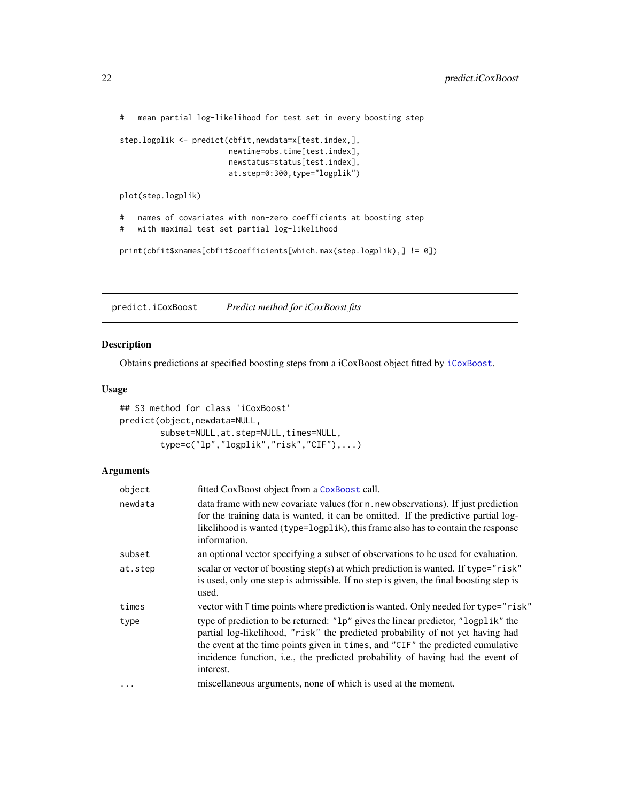<span id="page-21-0"></span># mean partial log-likelihood for test set in every boosting step

```
step.logplik <- predict(cbfit,newdata=x[test.index,],
                       newtime=obs.time[test.index],
                        newstatus=status[test.index],
                        at.step=0:300,type="logplik")
```
plot(step.logplik)

# names of covariates with non-zero coefficients at boosting step # with maximal test set partial log-likelihood

print(cbfit\$xnames[cbfit\$coefficients[which.max(step.logplik),] != 0])

<span id="page-21-1"></span>predict.iCoxBoost *Predict method for iCoxBoost fits*

# Description

Obtains predictions at specified boosting steps from a iCoxBoost object fitted by [iCoxBoost](#page-11-1).

# Usage

```
## S3 method for class 'iCoxBoost'
predict(object,newdata=NULL,
        subset=NULL, at.step=NULL, times=NULL,
        type=c("lp","logplik","risk","CIF"),...)
```

| object  | fitted CoxBoost object from a CoxBoost call.                                                                                                                                                                                                                                                                                                          |
|---------|-------------------------------------------------------------------------------------------------------------------------------------------------------------------------------------------------------------------------------------------------------------------------------------------------------------------------------------------------------|
| newdata | data frame with new covariate values (for n. new observations). If just prediction<br>for the training data is wanted, it can be omitted. If the predictive partial log-<br>likelihood is wanted (type=logplik), this frame also has to contain the response<br>information.                                                                          |
| subset  | an optional vector specifying a subset of observations to be used for evaluation.                                                                                                                                                                                                                                                                     |
| at.step | scalar or vector of boosting step(s) at which prediction is wanted. If type="risk"<br>is used, only one step is admissible. If no step is given, the final boosting step is<br>used.                                                                                                                                                                  |
| times   | vector with T time points where prediction is wanted. Only needed for type="risk"                                                                                                                                                                                                                                                                     |
| type    | type of prediction to be returned: "1p" gives the linear predictor, "logplik" the<br>partial log-likelihood, "risk" the predicted probability of not yet having had<br>the event at the time points given in times, and "CIF" the predicted cumulative<br>incidence function, i.e., the predicted probability of having had the event of<br>interest. |
| .       | miscellaneous arguments, none of which is used at the moment.                                                                                                                                                                                                                                                                                         |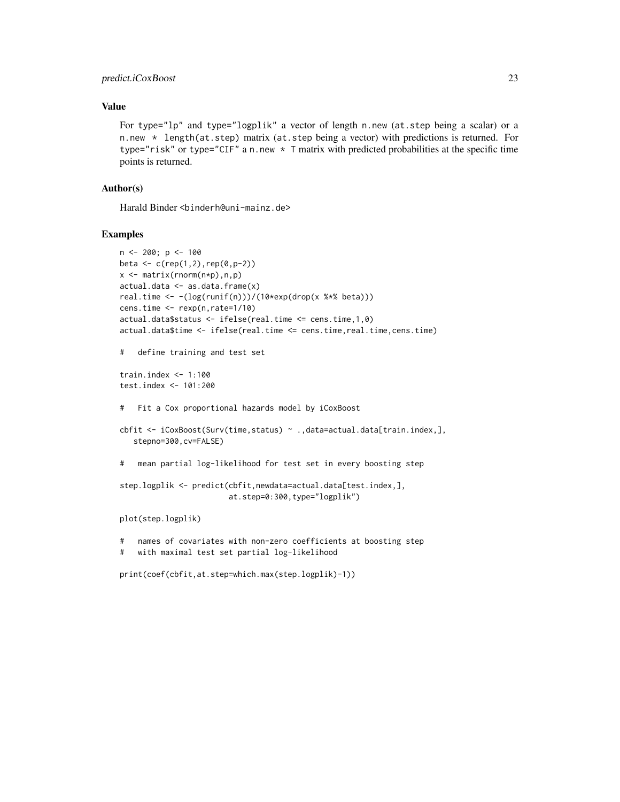# predict.iCoxBoost 23

### Value

For type="lp" and type="logplik" a vector of length n.new (at.step being a scalar) or a n.new  $\star$  length(at.step) matrix (at.step being a vector) with predictions is returned. For type="risk" or type="CIF" a n.new \* T matrix with predicted probabilities at the specific time points is returned.

# Author(s)

Harald Binder <binderh@uni-mainz.de>

#### Examples

```
n < -200; p < -100beta <- c(rep(1,2),rep(0,p-2))x \leq - matrix(rnorm(n*p),n,p)
actual.data \leftarrow as.data.findm(x)real.time <- -(log(runif(n)))/(10*exp(drop(x %*% beta)))
cens.time <- rexp(n,rate=1/10)
actual.data$status <- ifelse(real.time <= cens.time,1,0)
actual.data$time <- ifelse(real.time <= cens.time,real.time,cens.time)
# define training and test set
train.index <- 1:100
test.index <- 101:200
# Fit a Cox proportional hazards model by iCoxBoost
cbfit <- iCoxBoost(Surv(time,status) ~ .,data=actual.data[train.index,],
   stepno=300,cv=FALSE)
# mean partial log-likelihood for test set in every boosting step
step.logplik <- predict(cbfit,newdata=actual.data[test.index,],
                        at.step=0:300,type="logplik")
plot(step.logplik)
# names of covariates with non-zero coefficients at boosting step
# with maximal test set partial log-likelihood
print(coef(cbfit,at.step=which.max(step.logplik)-1))
```